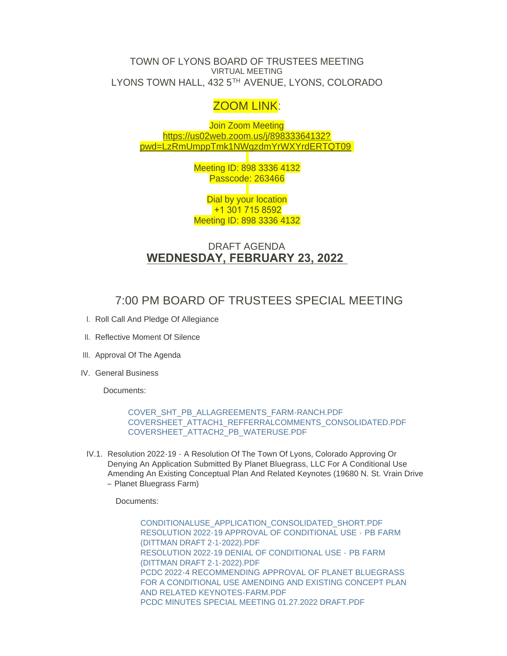TOWN OF LYONS BOARD OF TRUSTEES MEETING VIRTUAL MEETING LYONS TOWN HALL, 432 5TH AVENUE, LYONS, COLORADO

## ZOOM LINK:

Join Zoom Meeting https://us02web.zoom.us/j/89833364132? pwd=[LzRmUmppTmk1NWgzdmYrWXYrdERTQT09](https://us02web.zoom.us/j/89833364132?pwd=LzRmUmppTmk1NWgzdmYrWXYrdERTQT09)

> Meeting ID: 898 3336 4132 Passcode: 263466

> Dial by your location +1 301 715 8592 Meeting ID: 898 3336 4132

### DRAFT AGENDA **WEDNESDAY, FEBRUARY 23, 2022**

# 7:00 PM BOARD OF TRUSTEES SPECIAL MEETING

- I. Roll Call And Pledge Of Allegiance
- II. Reflective Moment Of Silence
- III. Approval Of The Agenda
- IV. General Business

Documents:

[COVER\\_SHT\\_PB\\_ALLAGREEMENTS\\_FARM-RANCH.PDF](https://www.townoflyons.com/AgendaCenter/ViewFile/Item/9819?fileID=20449) [COVERSHEET\\_ATTACH1\\_REFFERRALCOMMENTS\\_CONSOLIDATED.PDF](https://www.townoflyons.com/AgendaCenter/ViewFile/Item/9819?fileID=20450) [COVERSHEET\\_ATTACH2\\_PB\\_WATERUSE.PDF](https://www.townoflyons.com/AgendaCenter/ViewFile/Item/9819?fileID=20451)

IV.1. Resolution 2022-19 - A Resolution Of The Town Of Lyons, Colorado Approving Or Denying An Application Submitted By Planet Bluegrass, LLC For A Conditional Use Amending An Existing Conceptual Plan And Related Keynotes (19680 N. St. Vrain Drive – Planet Bluegrass Farm)

Documents:

[CONDITIONALUSE\\_APPLICATION\\_CONSOLIDATED\\_SHORT.PDF](https://www.townoflyons.com/AgendaCenter/ViewFile/Item/9810?fileID=20452) [RESOLUTION 2022-19 APPROVAL OF CONDITIONAL USE -](https://www.townoflyons.com/AgendaCenter/ViewFile/Item/9810?fileID=20305) PB FARM (DITTMAN DRAFT 2-1-2022).PDF [RESOLUTION 2022-19 DENIAL OF CONDITIONAL USE -](https://www.townoflyons.com/AgendaCenter/ViewFile/Item/9810?fileID=20306) PB FARM (DITTMAN DRAFT 2-1-2022).PDF [PCDC 2022-4 RECOMMENDING APPROVAL OF PLANET BLUEGRASS](https://www.townoflyons.com/AgendaCenter/ViewFile/Item/9810?fileID=20308)  FOR A CONDITIONAL USE AMENDING AND EXISTING CONCEPT PLAN AND RELATED KEYNOTES-FARM.PDF [PCDC MINUTES SPECIAL MEETING 01.27.2022 DRAFT.PDF](https://www.townoflyons.com/AgendaCenter/ViewFile/Item/9810?fileID=20314)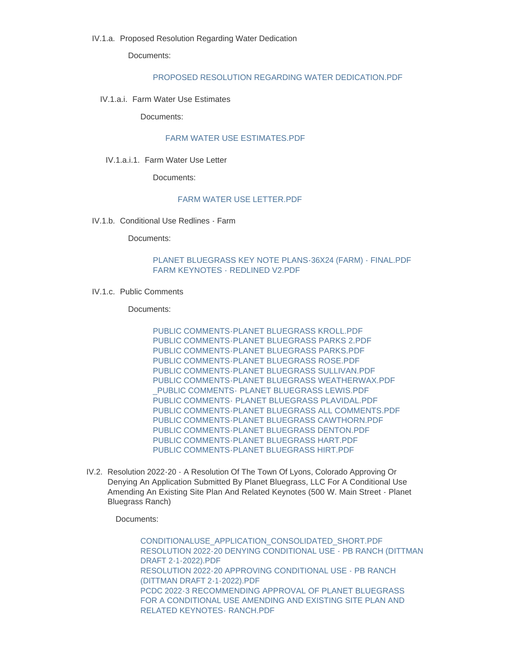Documents:

#### [PROPOSED RESOLUTION REGARDING WATER DEDICATION.PDF](https://www.townoflyons.com/AgendaCenter/ViewFile/Item/9883?fileID=20461)

IV.1.a.i. Farm Water Use Estimates

Documents:

#### [FARM WATER USE ESTIMATES.PDF](https://www.townoflyons.com/AgendaCenter/ViewFile/Item/9884?fileID=20462)

IV.1.a.i.1. Farm Water Use Letter

Documents:

#### [FARM WATER USE LETTER.PDF](https://www.townoflyons.com/AgendaCenter/ViewFile/Item/9885?fileID=20463)

IV.1.b. Conditional Use Redlines - Farm

Documents:

#### [PLANET BLUEGRASS KEY NOTE PLANS-36X24 \(FARM\) - FINAL.PDF](https://www.townoflyons.com/AgendaCenter/ViewFile/Item/9826?fileID=20389) [FARM KEYNOTES - REDLINED V2.PDF](https://www.townoflyons.com/AgendaCenter/ViewFile/Item/9826?fileID=20390)

IV.1.c. Public Comments

Documents:

[PUBLIC COMMENTS-PLANET BLUEGRASS KROLL.PDF](https://www.townoflyons.com/AgendaCenter/ViewFile/Item/9815?fileID=20343) [PUBLIC COMMENTS-PLANET BLUEGRASS PARKS 2.PDF](https://www.townoflyons.com/AgendaCenter/ViewFile/Item/9815?fileID=20344) [PUBLIC COMMENTS-PLANET BLUEGRASS PARKS.PDF](https://www.townoflyons.com/AgendaCenter/ViewFile/Item/9815?fileID=20345) [PUBLIC COMMENTS-PLANET BLUEGRASS ROSE.PDF](https://www.townoflyons.com/AgendaCenter/ViewFile/Item/9815?fileID=20346) [PUBLIC COMMENTS-PLANET BLUEGRASS SULLIVAN.PDF](https://www.townoflyons.com/AgendaCenter/ViewFile/Item/9815?fileID=20347) [PUBLIC COMMENTS-PLANET BLUEGRASS WEATHERWAX.PDF](https://www.townoflyons.com/AgendaCenter/ViewFile/Item/9815?fileID=20348) [\\_PUBLIC COMMENTS- PLANET BLUEGRASS LEWIS.PDF](https://www.townoflyons.com/AgendaCenter/ViewFile/Item/9815?fileID=20349) [PUBLIC COMMENTS- PLANET BLUEGRASS PLAVIDAL.PDF](https://www.townoflyons.com/AgendaCenter/ViewFile/Item/9815?fileID=20350) [PUBLIC COMMENTS-PLANET BLUEGRASS ALL COMMENTS.PDF](https://www.townoflyons.com/AgendaCenter/ViewFile/Item/9815?fileID=20351) [PUBLIC COMMENTS-PLANET BLUEGRASS CAWTHORN.PDF](https://www.townoflyons.com/AgendaCenter/ViewFile/Item/9815?fileID=20352) [PUBLIC COMMENTS-PLANET BLUEGRASS DENTON.PDF](https://www.townoflyons.com/AgendaCenter/ViewFile/Item/9815?fileID=20353) PUBLIC COMMENTS-PLANET BLUEGRASS HART PDF [PUBLIC COMMENTS-PLANET BLUEGRASS HIRT.PDF](https://www.townoflyons.com/AgendaCenter/ViewFile/Item/9815?fileID=20355)

IV.2. Resolution 2022-20 - A Resolution Of The Town Of Lyons, Colorado Approving Or Denying An Application Submitted By Planet Bluegrass, LLC For A Conditional Use Amending An Existing Site Plan And Related Keynotes (500 W. Main Street - Planet Bluegrass Ranch)

Documents:

[CONDITIONALUSE\\_APPLICATION\\_CONSOLIDATED\\_SHORT.PDF](https://www.townoflyons.com/AgendaCenter/ViewFile/Item/9811?fileID=20453) [RESOLUTION 2022-20 DENYING CONDITIONAL USE - PB RANCH \(DITTMAN](https://www.townoflyons.com/AgendaCenter/ViewFile/Item/9811?fileID=20309)  DRAFT 2-1-2022).PDF [RESOLUTION 2022-20 APPROVING CONDITIONAL USE - PB RANCH](https://www.townoflyons.com/AgendaCenter/ViewFile/Item/9811?fileID=20310)  (DITTMAN DRAFT 2-1-2022).PDF [PCDC 2022-3 RECOMMENDING APPROVAL OF PLANET BLUEGRASS](https://www.townoflyons.com/AgendaCenter/ViewFile/Item/9811?fileID=20312)  FOR A CONDITIONAL USE AMENDING AND EXISTING SITE PLAN AND RELATED KEYNOTES- RANCH.PDF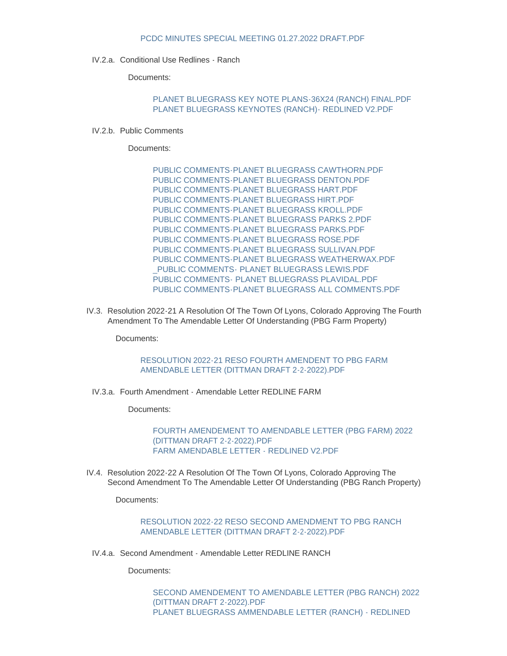#### [PCDC MINUTES SPECIAL MEETING 01.27.2022 DRAFT.PDF](https://www.townoflyons.com/AgendaCenter/ViewFile/Item/9811?fileID=20313)

IV.2.a. Conditional Use Redlines - Ranch

Documents:

#### [PLANET BLUEGRASS KEY NOTE PLANS-36X24 \(RANCH\) FINAL.PDF](https://www.townoflyons.com/AgendaCenter/ViewFile/Item/9827?fileID=20391) [PLANET BLUEGRASS KEYNOTES \(RANCH\)- REDLINED V2.PDF](https://www.townoflyons.com/AgendaCenter/ViewFile/Item/9827?fileID=20392)

IV.2.b. Public Comments

Documents:

[PUBLIC COMMENTS-PLANET BLUEGRASS CAWTHORN.PDF](https://www.townoflyons.com/AgendaCenter/ViewFile/Item/9814?fileID=20330) PUBLIC COMMENTS-PLANET BLUEGRASS DENTON PDF [PUBLIC COMMENTS-PLANET BLUEGRASS HART.PDF](https://www.townoflyons.com/AgendaCenter/ViewFile/Item/9814?fileID=20332) [PUBLIC COMMENTS-PLANET BLUEGRASS HIRT.PDF](https://www.townoflyons.com/AgendaCenter/ViewFile/Item/9814?fileID=20333) [PUBLIC COMMENTS-PLANET BLUEGRASS KROLL.PDF](https://www.townoflyons.com/AgendaCenter/ViewFile/Item/9814?fileID=20334) [PUBLIC COMMENTS-PLANET BLUEGRASS PARKS 2.PDF](https://www.townoflyons.com/AgendaCenter/ViewFile/Item/9814?fileID=20335) [PUBLIC COMMENTS-PLANET BLUEGRASS PARKS.PDF](https://www.townoflyons.com/AgendaCenter/ViewFile/Item/9814?fileID=20336) [PUBLIC COMMENTS-PLANET BLUEGRASS ROSE.PDF](https://www.townoflyons.com/AgendaCenter/ViewFile/Item/9814?fileID=20337) [PUBLIC COMMENTS-PLANET BLUEGRASS SULLIVAN.PDF](https://www.townoflyons.com/AgendaCenter/ViewFile/Item/9814?fileID=20338) [PUBLIC COMMENTS-PLANET BLUEGRASS WEATHERWAX.PDF](https://www.townoflyons.com/AgendaCenter/ViewFile/Item/9814?fileID=20339) [\\_PUBLIC COMMENTS- PLANET BLUEGRASS LEWIS.PDF](https://www.townoflyons.com/AgendaCenter/ViewFile/Item/9814?fileID=20340) [PUBLIC COMMENTS- PLANET BLUEGRASS PLAVIDAL.PDF](https://www.townoflyons.com/AgendaCenter/ViewFile/Item/9814?fileID=20341) [PUBLIC COMMENTS-PLANET BLUEGRASS ALL COMMENTS.PDF](https://www.townoflyons.com/AgendaCenter/ViewFile/Item/9814?fileID=20342)

IV.3. Resolution 2022-21 A Resolution Of The Town Of Lyons, Colorado Approving The Fourth Amendment To The Amendable Letter Of Understanding (PBG Farm Property)

Documents:

#### [RESOLUTION 2022-21 RESO FOURTH AMENDENT TO PBG FARM](https://www.townoflyons.com/AgendaCenter/ViewFile/Item/9812?fileID=20315)  AMENDABLE LETTER (DITTMAN DRAFT 2-2-2022).PDF

IV.3.a. Fourth Amendment - Amendable Letter REDLINE FARM

Documents:

[FOURTH AMENDEMENT TO AMENDABLE LETTER \(PBG FARM\) 2022](https://www.townoflyons.com/AgendaCenter/ViewFile/Item/9828?fileID=20381)  (DITTMAN DRAFT 2-2-2022).PDF [FARM AMENDABLE LETTER - REDLINED V2.PDF](https://www.townoflyons.com/AgendaCenter/ViewFile/Item/9828?fileID=20393)

IV.4. Resolution 2022-22 A Resolution Of The Town Of Lyons, Colorado Approving The Second Amendment To The Amendable Letter Of Understanding (PBG Ranch Property)

Documents:

[RESOLUTION 2022-22 RESO SECOND AMENDMENT TO PBG RANCH](https://www.townoflyons.com/AgendaCenter/ViewFile/Item/9813?fileID=20316)  AMENDABLE LETTER (DITTMAN DRAFT 2-2-2022).PDF

IV.4.a. Second Amendment - Amendable Letter REDLINE RANCH

Documents:

[SECOND AMENDEMENT TO AMENDABLE LETTER \(PBG RANCH\) 2022](https://www.townoflyons.com/AgendaCenter/ViewFile/Item/9829?fileID=20383)  (DITTMAN DRAFT 2-2022).PDF [PLANET BLUEGRASS AMMENDABLE LETTER \(RANCH\) - REDLINED](https://www.townoflyons.com/AgendaCenter/ViewFile/Item/9829?fileID=20394)